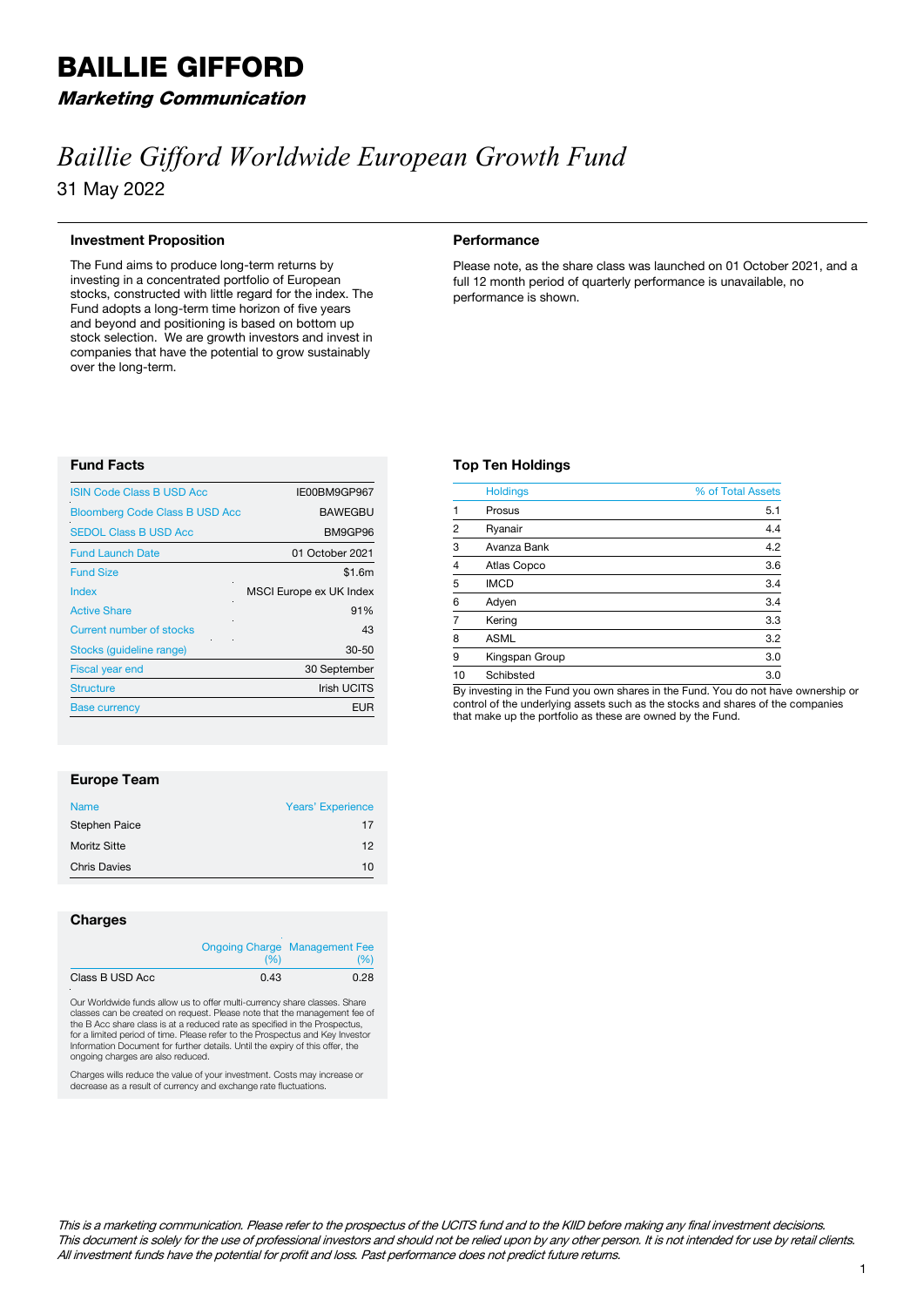# BAILLIE GIFFORD

# Marketing Communication

# *Baillie Gifford Worldwide European Growth Fund* 31 May 2022

# **Investment Proposition**

The Fund aims to produce long-term returns by investing in a concentrated portfolio of European stocks, constructed with little regard for the index. The Fund adopts a long-term time horizon of five years and beyond and positioning is based on bottom up stock selection. We are growth investors and invest in companies that have the potential to grow sustainably over the long-term.

#### **Performance**

**Top Ten Holdings**

Please note, as the share class was launched on 01 October 2021, and a full 12 month period of quarterly performance is unavailable, no performance is shown.

# **Fund Facts**

| <b>ISIN Code Class B USD Acc</b>      | IE00BM9GP967            |
|---------------------------------------|-------------------------|
| <b>Bloomberg Code Class B USD Acc</b> | <b>BAWEGBU</b>          |
| <b>SEDOL Class B USD Acc</b>          | BM9GP96                 |
| <b>Fund Launch Date</b>               | 01 October 2021         |
| <b>Fund Size</b>                      | \$1.6m                  |
| Index                                 | MSCI Europe ex UK Index |
| <b>Active Share</b>                   | 91%                     |
| <b>Current number of stocks</b>       | 43                      |
| Stocks (quideline range)              | 30-50                   |
| <b>Fiscal year end</b>                | 30 September            |
| <b>Structure</b>                      | <b>Irish UCITS</b>      |
| <b>Base currency</b>                  | EUR                     |
|                                       |                         |

|                                                                                                                                                                      | <b>ASML</b>    | 3.2 |
|----------------------------------------------------------------------------------------------------------------------------------------------------------------------|----------------|-----|
| 9                                                                                                                                                                    | Kingspan Group | 3.0 |
| 10                                                                                                                                                                   | Schibsted      | 3.0 |
| By investing in the Fund you own shares in the Fund. You do not have ownership or<br>control of the underlying assets such as the stocks and shares of the companies |                |     |

that make up the portfolio as these are owned by the Fund.

Holdings % of Total Assets 1 Prosus 5.1 2 Ryanair 4.4 3 Avanza Bank 4.2 4 Atlas Copco 3.6  $5$  IMCD  $3.4$ 6 Adyen 3.4 7 Kering 3.3

## **Europe Team**

| <b>Name</b>          | Years' Experience |
|----------------------|-------------------|
| <b>Stephen Paice</b> | 17                |
| <b>Moritz Sitte</b>  | 12                |
| <b>Chris Davies</b>  | 10                |

## **Charges**

|                 | (96) | <b>Ongoing Charge Management Fee</b><br>(%) |
|-----------------|------|---------------------------------------------|
| Class B USD Acc | 0.43 | 0.28                                        |

Our Worldwide funds allow us to offer multi-currency share classes. Share classes can be created on request. Please note that the management fee of the B Acc share class is at a reduced rate as specified in the Prospectus, for a limited period of time. Please refer to the Prospectus and Key Investor Information Document for further details. Until the expiry of this offer, the ongoing charges are also reduced.

Charges wills reduce the value of your investment. Costs may increase or decrease as a result of currency and exchange rate fluctuations.

#### This is a marketing communication. Please refer to the prospectus of the UCITS fund and to the KIID before making any final investment decisions. This document is solely for the use of professional investors and should not be relied upon by any other person. It is not intended for use by retail clients. All investment funds have the potential for profit and loss. Past performance does not predict future returns.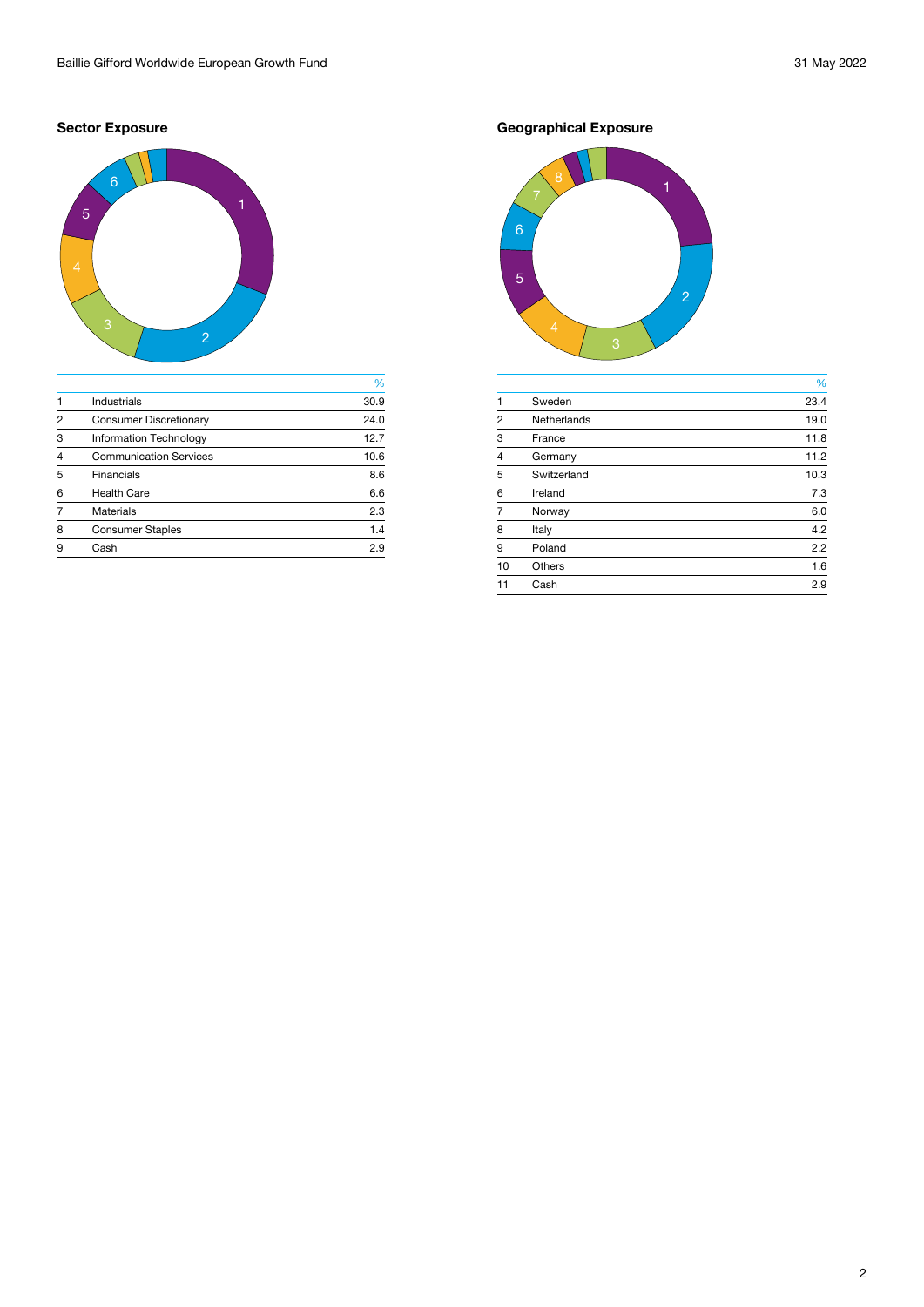# **Sector Exposure**



|                |                               | %    |
|----------------|-------------------------------|------|
| $\mathbf 1$    | Industrials                   | 30.9 |
| 2              | <b>Consumer Discretionary</b> | 24.0 |
| 3              | <b>Information Technology</b> | 12.7 |
| $\overline{4}$ | <b>Communication Services</b> | 10.6 |
| 5              | <b>Financials</b>             | 8.6  |
| 6              | <b>Health Care</b>            | 6.6  |
|                | <b>Materials</b>              | 2.3  |
| 8              | <b>Consumer Staples</b>       | 1.4  |
| 9              | Cash                          | 2.9  |
|                |                               |      |

**Geographical Exposure**



|                |                    | %    |
|----------------|--------------------|------|
| $\mathbf{1}$   | Sweden             | 23.4 |
| $\overline{2}$ | <b>Netherlands</b> | 19.0 |
| 3              | France             | 11.8 |
| $\overline{4}$ | Germany            | 11.2 |
| 5              | Switzerland        | 10.3 |
| 6              | Ireland            | 7.3  |
| $\overline{7}$ | Norway             | 6.0  |
| 8              | Italy              | 4.2  |
| 9              | Poland             | 2.2  |
| 10             | <b>Others</b>      | 1.6  |
|                | Cash               | 2.9  |
|                |                    |      |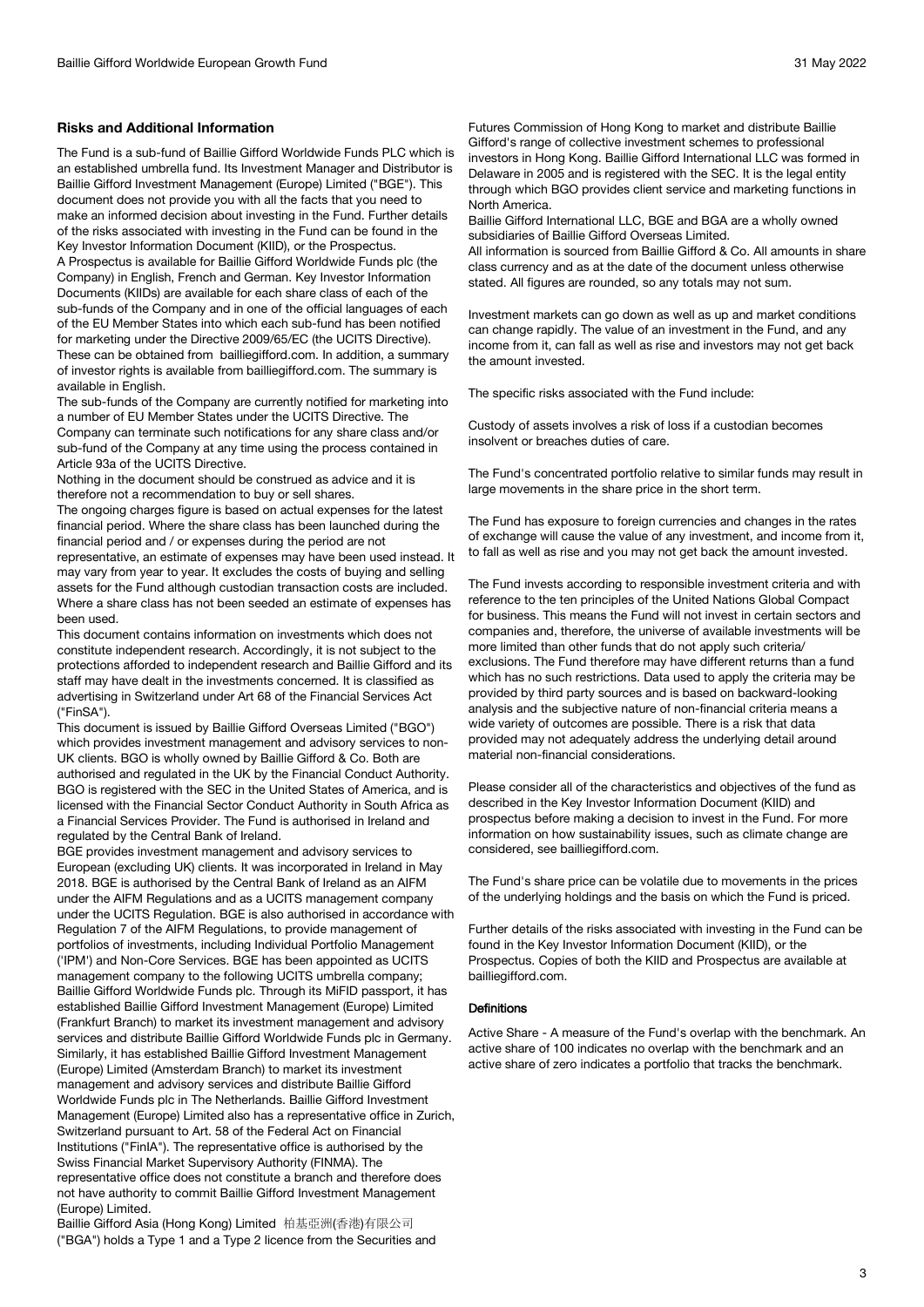# **Risks and Additional Information**

The Fund is a sub-fund of Baillie Gifford Worldwide Funds PLC which is an established umbrella fund. Its Investment Manager and Distributor is Baillie Gifford Investment Management (Europe) Limited ("BGE"). This document does not provide you with all the facts that you need to make an informed decision about investing in the Fund. Further details of the risks associated with investing in the Fund can be found in the Key Investor Information Document (KIID), or the Prospectus.

A Prospectus is available for Baillie Gifford Worldwide Funds plc (the Company) in English, French and German. Key Investor Information Documents (KIIDs) are available for each share class of each of the sub-funds of the Company and in one of the official languages of each of the EU Member States into which each sub-fund has been notified for marketing under the Directive 2009/65/EC (the UCITS Directive). These can be obtained from bailliegifford.com. In addition, a summary of investor rights is available from bailliegifford.com. The summary is available in English.

The sub-funds of the Company are currently notified for marketing into a number of EU Member States under the UCITS Directive. The Company can terminate such notifications for any share class and/or sub-fund of the Company at any time using the process contained in Article 93a of the UCITS Directive.

Nothing in the document should be construed as advice and it is therefore not a recommendation to buy or sell shares.

The ongoing charges figure is based on actual expenses for the latest financial period. Where the share class has been launched during the financial period and / or expenses during the period are not representative, an estimate of expenses may have been used instead. It may vary from year to year. It excludes the costs of buying and selling assets for the Fund although custodian transaction costs are included. Where a share class has not been seeded an estimate of expenses has been used.

This document contains information on investments which does not constitute independent research. Accordingly, it is not subject to the protections afforded to independent research and Baillie Gifford and its staff may have dealt in the investments concerned. It is classified as advertising in Switzerland under Art 68 of the Financial Services Act ("FinSA").

This document is issued by Baillie Gifford Overseas Limited ("BGO") which provides investment management and advisory services to non-UK clients. BGO is wholly owned by Baillie Gifford & Co. Both are authorised and regulated in the UK by the Financial Conduct Authority. BGO is registered with the SEC in the United States of America, and is licensed with the Financial Sector Conduct Authority in South Africa as a Financial Services Provider. The Fund is authorised in Ireland and regulated by the Central Bank of Ireland.

BGE provides investment management and advisory services to European (excluding UK) clients. It was incorporated in Ireland in May 2018. BGE is authorised by the Central Bank of Ireland as an AIFM under the AIFM Regulations and as a UCITS management company under the UCITS Regulation. BGE is also authorised in accordance with Regulation 7 of the AIFM Regulations, to provide management of portfolios of investments, including Individual Portfolio Management ('IPM') and Non-Core Services. BGE has been appointed as UCITS management company to the following UCITS umbrella company; Baillie Gifford Worldwide Funds plc. Through its MiFID passport, it has established Baillie Gifford Investment Management (Europe) Limited (Frankfurt Branch) to market its investment management and advisory services and distribute Baillie Gifford Worldwide Funds plc in Germany. Similarly, it has established Baillie Gifford Investment Management (Europe) Limited (Amsterdam Branch) to market its investment management and advisory services and distribute Baillie Gifford Worldwide Funds plc in The Netherlands. Baillie Gifford Investment Management (Europe) Limited also has a representative office in Zurich, Switzerland pursuant to Art. 58 of the Federal Act on Financial Institutions ("FinIA"). The representative office is authorised by the Swiss Financial Market Supervisory Authority (FINMA). The representative office does not constitute a branch and therefore does not have authority to commit Baillie Gifford Investment Management (Europe) Limited.

Baillie Gifford Asia (Hong Kong) Limited 柏基亞洲(香港)有限公司 ("BGA") holds a Type 1 and a Type 2 licence from the Securities and Futures Commission of Hong Kong to market and distribute Baillie Gifford's range of collective investment schemes to professional investors in Hong Kong. Baillie Gifford International LLC was formed in Delaware in 2005 and is registered with the SEC. It is the legal entity through which BGO provides client service and marketing functions in North America.

Baillie Gifford International LLC, BGE and BGA are a wholly owned subsidiaries of Baillie Gifford Overseas Limited.

All information is sourced from Baillie Gifford & Co. All amounts in share class currency and as at the date of the document unless otherwise stated. All figures are rounded, so any totals may not sum.

Investment markets can go down as well as up and market conditions can change rapidly. The value of an investment in the Fund, and any income from it, can fall as well as rise and investors may not get back the amount invested.

The specific risks associated with the Fund include:

Custody of assets involves a risk of loss if a custodian becomes insolvent or breaches duties of care.

The Fund's concentrated portfolio relative to similar funds may result in large movements in the share price in the short term.

The Fund has exposure to foreign currencies and changes in the rates of exchange will cause the value of any investment, and income from it, to fall as well as rise and you may not get back the amount invested.

The Fund invests according to responsible investment criteria and with reference to the ten principles of the United Nations Global Compact for business. This means the Fund will not invest in certain sectors and companies and, therefore, the universe of available investments will be more limited than other funds that do not apply such criteria/ exclusions. The Fund therefore may have different returns than a fund which has no such restrictions. Data used to apply the criteria may be provided by third party sources and is based on backward-looking analysis and the subjective nature of non-financial criteria means a wide variety of outcomes are possible. There is a risk that data provided may not adequately address the underlying detail around material non-financial considerations.

Please consider all of the characteristics and objectives of the fund as described in the Key Investor Information Document (KIID) and prospectus before making a decision to invest in the Fund. For more information on how sustainability issues, such as climate change are considered, see bailliegifford.com.

The Fund's share price can be volatile due to movements in the prices of the underlying holdings and the basis on which the Fund is priced.

Further details of the risks associated with investing in the Fund can be found in the Key Investor Information Document (KIID), or the Prospectus. Copies of both the KIID and Prospectus are available at bailliegifford.com.

#### Definitions

Active Share - A measure of the Fund's overlap with the benchmark. An active share of 100 indicates no overlap with the benchmark and an active share of zero indicates a portfolio that tracks the benchmark.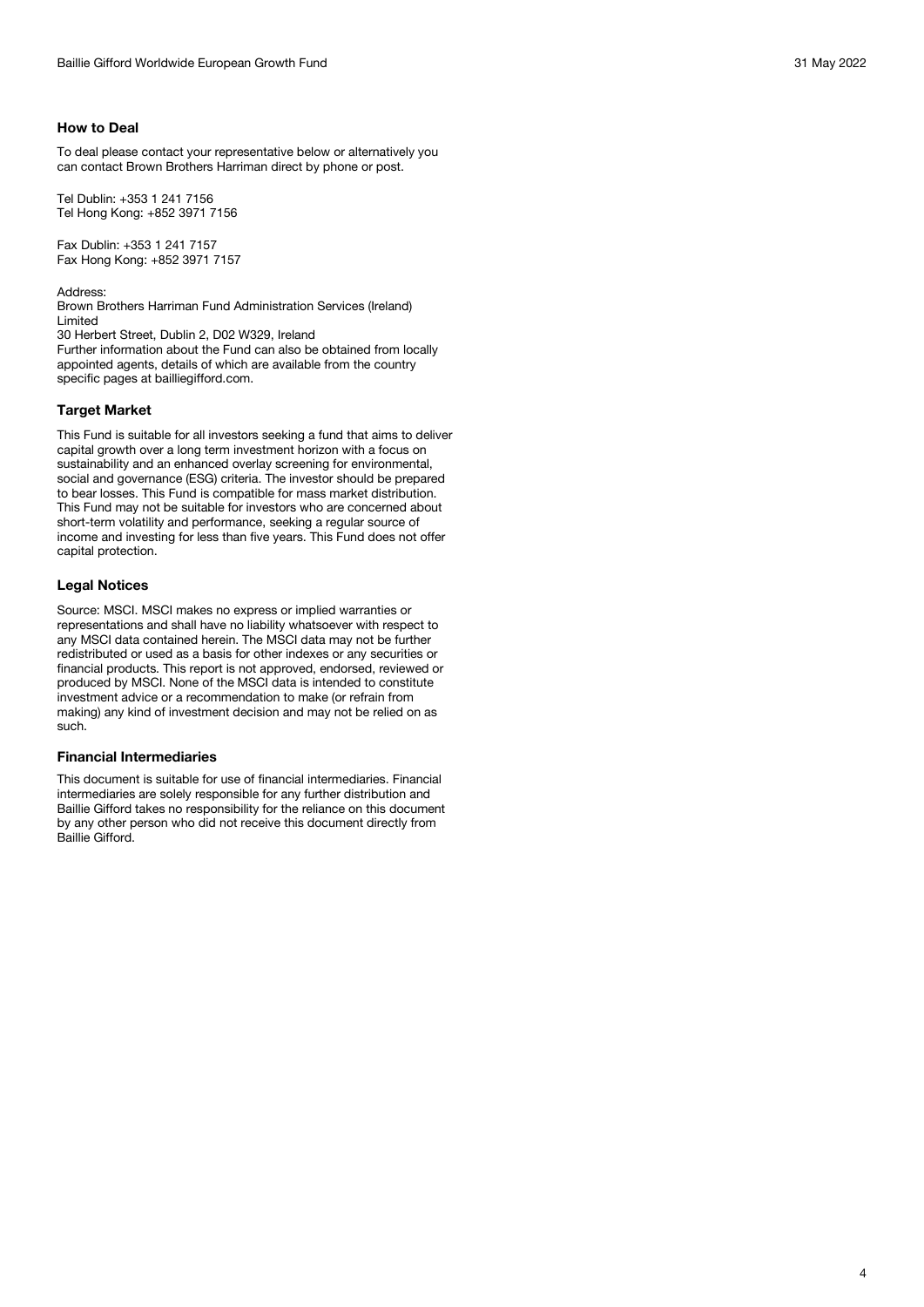To deal please contact your representative below or alternatively you can contact Brown Brothers Harriman direct by phone or post.

Tel Dublin: +353 1 241 7156 Tel Hong Kong: +852 3971 7156

Fax Dublin: +353 1 241 7157 Fax Hong Kong: +852 3971 7157

Address: Brown Brothers Harriman Fund Administration Services (Ireland) Limited

30 Herbert Street, Dublin 2, D02 W329, Ireland

Further information about the Fund can also be obtained from locally appointed agents, details of which are available from the country specific pages at bailliegifford.com.

# **Target Market**

This Fund is suitable for all investors seeking a fund that aims to deliver capital growth over a long term investment horizon with a focus on sustainability and an enhanced overlay screening for environmental, social and governance (ESG) criteria. The investor should be prepared to bear losses. This Fund is compatible for mass market distribution. This Fund may not be suitable for investors who are concerned about short-term volatility and performance, seeking a regular source of income and investing for less than five years. This Fund does not offer capital protection.

# **Legal Notices**

Source: MSCI. MSCI makes no express or implied warranties or representations and shall have no liability whatsoever with respect to any MSCI data contained herein. The MSCI data may not be further redistributed or used as a basis for other indexes or any securities or financial products. This report is not approved, endorsed, reviewed or produced by MSCI. None of the MSCI data is intended to constitute investment advice or a recommendation to make (or refrain from making) any kind of investment decision and may not be relied on as such.

## **Financial Intermediaries**

This document is suitable for use of financial intermediaries. Financial intermediaries are solely responsible for any further distribution and Baillie Gifford takes no responsibility for the reliance on this document by any other person who did not receive this document directly from Baillie Gifford.